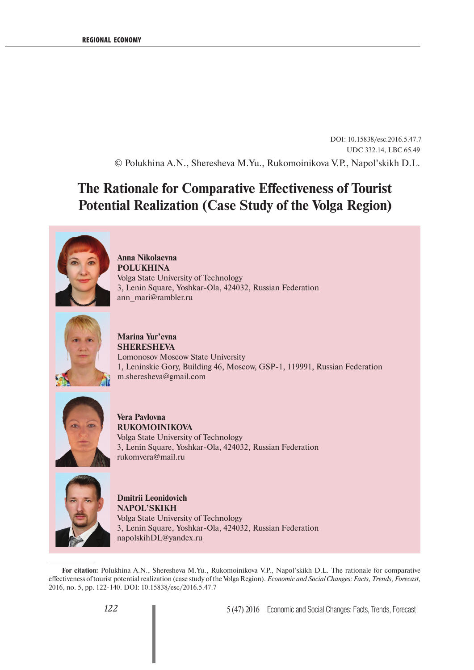DOI: 10.15838/esc.2016.5.47.7 UDC 332.14, LBC 65.49 © Polukhina A.N., Sheresheva M.Yu., Rukomoinikova V.P., Napol'skikh D.L.

## **The Rationale for Comparative Effectiveness of Tourist Potential Realization (Case Study of the Volga Region)**



**Anna Nikolaevna POLUKHINA**  Volga State University of Technology 3, Lenin Square, Yoshkar-Ola, 424032, Russian Federation ann\_mari@rambler.ru



**Marina Yur'evna SHERESHEVA** Lomonosov Moscow State University 1, Leninskie Gory, Building 46, Moscow, GSP-1, 119991, Russian Federation m.sheresheva@gmail.com



**Vera Pavlovna RUKOMOINIKOVA** Volga State University of Technology 3, Lenin Square, Yoshkar-Ola, 424032, Russian Federation rukomvera@mail.ru



**Dmitrii Leonidovich NAPOL'SKIKH**  Volga State University of Technology 3, Lenin Square, Yoshkar-Ola, 424032, Russian Federation napolskihDL@yandex.ru

**For citation:** Polukhina A.N., Sheresheva M.Yu., Rukomoinikova V.P., Napol'skikh D.L. The rationale for comparative effectiveness of tourist potential realization (case study of the Volga Region). *Economic and Social Changes: Facts, Trends, Forecast*, 2016, no. 5, pp. 122-140. DOI: 10.15838/esc/2016.5.47.7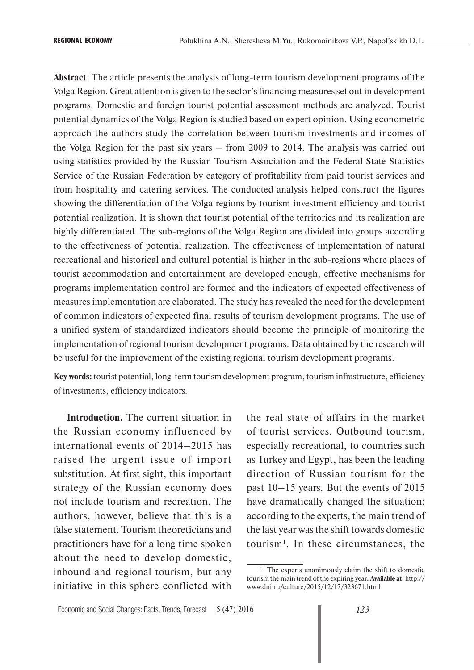**Abstract**. The article presents the analysis of long-term tourism development programs of the Volga Region. Great attention is given to the sector's financing measures set out in development programs. Domestic and foreign tourist potential assessment methods are analyzed. Tourist potential dynamics of the Volga Region is studied based on expert opinion. Using econometric approach the authors study the correlation between tourism investments and incomes of the Volga Region for the past six years – from 2009 to 2014. The analysis was carried out using statistics provided by the Russian Tourism Association and the Federal State Statistics Service of the Russian Federation by category of profitability from paid tourist services and from hospitality and catering services. The conducted analysis helped construct the figures showing the differentiation of the Volga regions by tourism investment efficiency and tourist potential realization. It is shown that tourist potential of the territories and its realization are highly differentiated. The sub-regions of the Volga Region are divided into groups according to the effectiveness of potential realization. The effectiveness of implementation of natural recreational and historical and cultural potential is higher in the sub-regions where places of tourist accommodation and entertainment are developed enough, effective mechanisms for programs implementation control are formed and the indicators of expected effectiveness of measures implementation are elaborated. The study has revealed the need for the development of common indicators of expected final results of tourism development programs. The use of a unified system of standardized indicators should become the principle of monitoring the implementation of regional tourism development programs. Data obtained by the research will be useful for the improvement of the existing regional tourism development programs.

**Key words:** tourist potential, long-term tourism development program, tourism infrastructure, efficiency of investments, efficiency indicators.

**Introduction.** The current situation in the Russian economy influenced by international events of 2014–2015 has raised the urgent issue of import substitution. At first sight, this important strategy of the Russian economy does not include tourism and recreation. The authors, however, believe that this is a false statement. Tourism theoreticians and practitioners have for a long time spoken about the need to develop domestic, inbound and regional tourism, but any initiative in this sphere conflicted with the real state of affairs in the market of tourist services. Outbound tourism, especially recreational, to countries such as Turkey and Egypt, has been the leading direction of Russian tourism for the past 10–15 years. But the events of 2015 have dramatically changed the situation: according to the experts, the main trend of the last year was the shift towards domestic tourism<sup>1</sup>. In these circumstances, the

<sup>&</sup>lt;sup>1</sup> The experts unanimously claim the shift to domestic tourism the main trend of the expiring year**. Available at:** http:// www.dni.ru/culture/2015/12/17/323671.html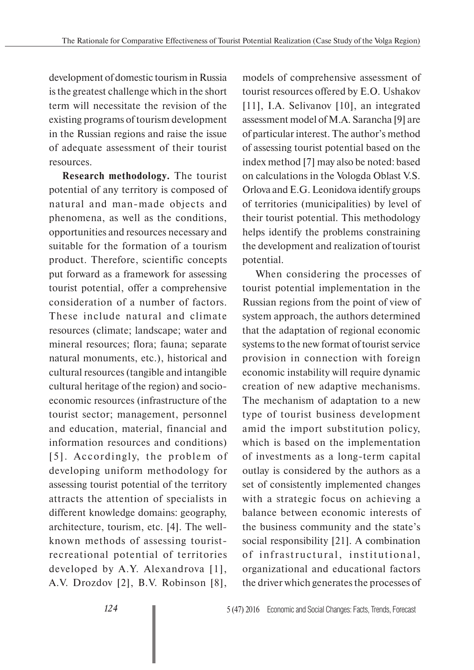development of domestic tourism in Russia is the greatest challenge which in the short term will necessitate the revision of the existing programs of tourism development in the Russian regions and raise the issue of adequate assessment of their tourist resources.

**Research methodology.** The tourist potential of any territory is composed of natural and man-made objects and phenomena, as well as the conditions, opportunities and resources necessary and suitable for the formation of a tourism product. Therefore, scientific concepts put forward as a framework for assessing tourist potential, offer a comprehensive consideration of a number of factors. These include natural and climate resources (climate; landscape; water and mineral resources; flora; fauna; separate natural monuments, etc.), historical and cultural resources (tangible and intangible cultural heritage of the region) and socioeconomic resources (infrastructure of the tourist sector; management, personnel and education, material, financial and information resources and conditions) [5]. Accordingly, the problem of developing uniform methodology for assessing tourist potential of the territory attracts the attention of specialists in different knowledge domains: geography, architecture, tourism, etc. [4]. The wellknown methods of assessing touristrecreational potential of territories developed by A.Y. Alexandrova [1], A.V. Drozdov [2], B.V. Robinson [8],

models of comprehensive assessment of tourist resources offered by E.O. Ushakov [11], I.A. Selivanov [10], an integrated assessment model of M.A. Sarancha [9] are of particular interest. The author's method of assessing tourist potential based on the index method [7] may also be noted: based on calculations in the Vologda Oblast V.S. Orlova and E.G. Leonidova identify groups of territories (municipalities) by level of their tourist potential. This methodology helps identify the problems constraining the development and realization of tourist potential.

When considering the processes of tourist potential implementation in the Russian regions from the point of view of system approach, the authors determined that the adaptation of regional economic systems to the new format of tourist service provision in connection with foreign economic instability will require dynamic creation of new adaptive mechanisms. The mechanism of adaptation to a new type of tourist business development amid the import substitution policy, which is based on the implementation of investments as a long-term capital outlay is considered by the authors as a set of consistently implemented changes with a strategic focus on achieving a balance between economic interests of the business community and the state's social responsibility [21]. A combination of infrastructural, institutional, organizational and educational factors the driver which generates the processes of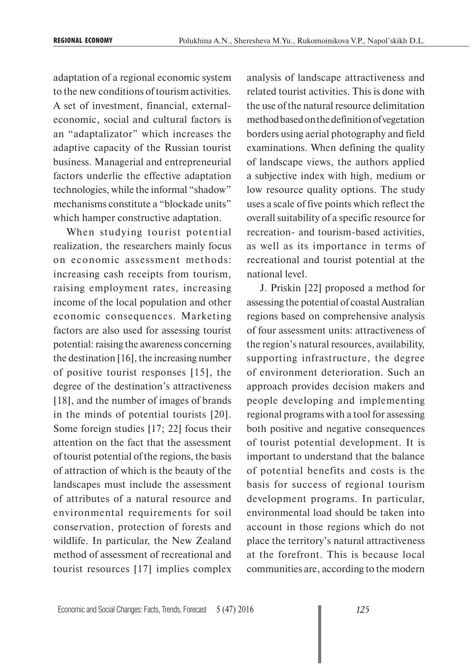adaptation of a regional economic system to the new conditions of tourism activities. A set of investment, financial, externaleconomic, social and cultural factors is an "adaptalizator" which increases the adaptive capacity of the Russian tourist business. Managerial and entrepreneurial factors underlie the effective adaptation technologies, while the informal "shadow" mechanisms constitute a "blockade units" which hamper constructive adaptation.

When studying tourist potential realization, the researchers mainly focus on economic assessment methods: increasing cash receipts from tourism, raising employment rates, increasing income of the local population and other economic consequences. Marketing factors are also used for assessing tourist potential: raising the awareness concerning the destination [16], the increasing number of positive tourist responses [15], the degree of the destination's attractiveness [18], and the number of images of brands in the minds of potential tourists [20]. Some foreign studies [17; 22] focus their attention on the fact that the assessment of tourist potential of the regions, the basis of attraction of which is the beauty of the landscapes must include the assessment of attributes of a natural resource and environmental requirements for soil conservation, protection of forests and wildlife. In particular, the New Zealand method of assessment of recreational and tourist resources [17] implies complex analysis of landscape attractiveness and related tourist activities. This is done with the use of the natural resource delimitation method based on the definition of vegetation borders using aerial photography and field examinations. When defining the quality of landscape views, the authors applied a subjective index with high, medium or low resource quality options. The study uses a scale of five points which reflect the overall suitability of a specific resource for recreation- and tourism-based activities, as well as its importance in terms of recreational and tourist potential at the national level.

J. Priskin [22] proposed a method for assessing the potential of coastal Australian regions based on comprehensive analysis of four assessment units: attractiveness of the region's natural resources, availability, supporting infrastructure, the degree of environment deterioration. Such an approach provides decision makers and people developing and implementing regional programs with a tool for assessing both positive and negative consequences of tourist potential development. It is important to understand that the balance of potential benefits and costs is the basis for success of regional tourism development programs. In particular, environmental load should be taken into account in those regions which do not place the territory's natural attractiveness at the forefront. This is because local communities are, according to the modern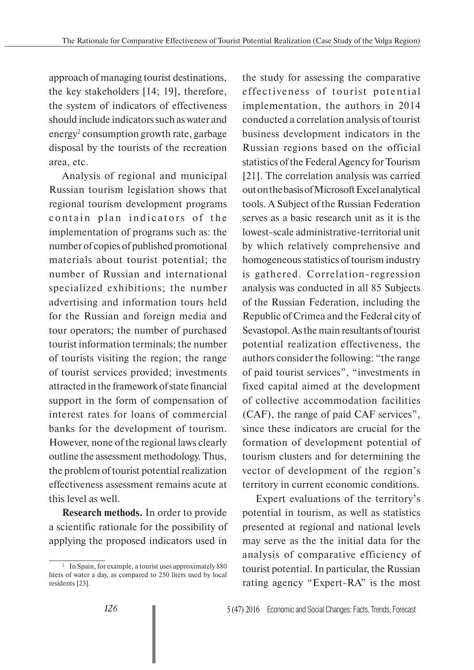approach of managing tourist destinations, the key stakeholders [14; 19], therefore, the system of indicators of effectiveness should include indicators such as water and energy<sup>2</sup> consumption growth rate, garbage disposal by the tourists of the recreation area, etc.

Analysis of regional and municipal Russian tourism legislation shows that regional tourism development programs contain plan indicators of the implementation of programs such as: the number of copies of published promotional materials about tourist potential; the number of Russian and international specialized exhibitions; the number advertising and information tours held for the Russian and foreign media and tour operators; the number of purchased tourist information terminals; the number of tourists visiting the region; the range of tourist services provided; investments attracted in the framework of state financial support in the form of compensation of interest rates for loans of commercial banks for the development of tourism. However, none of the regional laws clearly outline the assessment methodology. Thus, the problem of tourist potential realization effectiveness assessment remains acute at this level as well.

**Research methods.** In order to provide a scientific rationale for the possibility of applying the proposed indicators used in

the study for assessing the comparative effectiveness of tourist potential implementation, the authors in 2014 conducted a correlation analysis of tourist business development indicators in the Russian regions based on the official statistics of the Federal Agency for Tourism [21]. The correlation analysis was carried out on the basis of Microsoft Excel analytical tools. A Subject of the Russian Federation serves as a basic research unit as it is the lowest-scale administrative-territorial unit by which relatively comprehensive and homogeneous statistics of tourism industry is gathered. Correlation-regression analysis was conducted in all 85 Subjects of the Russian Federation, including the Republic of Crimea and the Federal city of Sevastopol. As the main resultants of tourist potential realization effectiveness, the authors consider the following: "the range of paid tourist services", "investments in fixed capital aimed at the development of collective accommodation facilities (CAF), the range of paid CAF services", since these indicators are crucial for the formation of development potential of tourism clusters and for determining the vector of development of the region's territory in current economic conditions.

Expert evaluations of the territory's potential in tourism, as well as statistics presented at regional and national levels may serve as the the initial data for the analysis of comparative efficiency of tourist potential. In particular, the Russian rating agency "Expert-RA" is the most

<sup>&</sup>lt;sup>2</sup> In Spain, for example, a tourist uses approximately 880 liters of water a day, as compared to 250 liters used by local residents [23].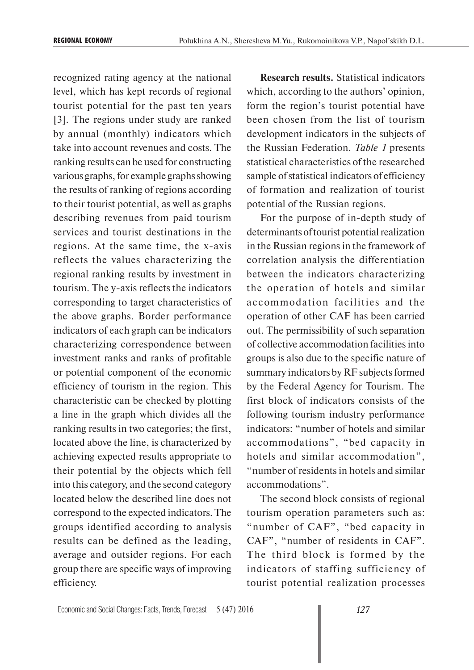recognized rating agency at the national level, which has kept records of regional tourist potential for the past ten years [3]. The regions under study are ranked by annual (monthly) indicators which take into account revenues and costs. The ranking results can be used for constructing various graphs, for example graphs showing the results of ranking of regions according to their tourist potential, as well as graphs describing revenues from paid tourism services and tourist destinations in the regions. At the same time, the x-axis reflects the values characterizing the regional ranking results by investment in tourism. The y-axis reflects the indicators corresponding to target characteristics of the above graphs. Border performance indicators of each graph can be indicators characterizing correspondence between investment ranks and ranks of profitable or potential component of the economic efficiency of tourism in the region. This characteristic can be checked by plotting a line in the graph which divides all the ranking results in two categories; the first, located above the line, is characterized by achieving expected results appropriate to their potential by the objects which fell into this category, and the second category located below the described line does not correspond to the expected indicators. The groups identified according to analysis results can be defined as the leading, average and outsider regions. For each group there are specific ways of improving efficiency.

**Research results.** Statistical indicators which, according to the authors' opinion, form the region's tourist potential have been chosen from the list of tourism development indicators in the subjects of the Russian Federation. *Table 1* presents statistical characteristics of the researched sample of statistical indicators of efficiency of formation and realization of tourist potential of the Russian regions.

For the purpose of in-depth study of determinants of tourist potential realization in the Russian regions in the framework of correlation analysis the differentiation between the indicators characterizing the operation of hotels and similar accommodation facilities and the operation of other CAF has been carried out. The permissibility of such separation of collective accommodation facilities into groups is also due to the specific nature of summary indicators by RF subjects formed by the Federal Agency for Tourism. The first block of indicators consists of the following tourism industry performance indicators: "number of hotels and similar accommodations", "bed capacity in hotels and similar accommodation", "number of residents in hotels and similar accommodations".

The second block consists of regional tourism operation parameters such as: "number of CAF", "bed capacity in CAF", "number of residents in CAF". The third block is formed by the indicators of staffing sufficiency of tourist potential realization processes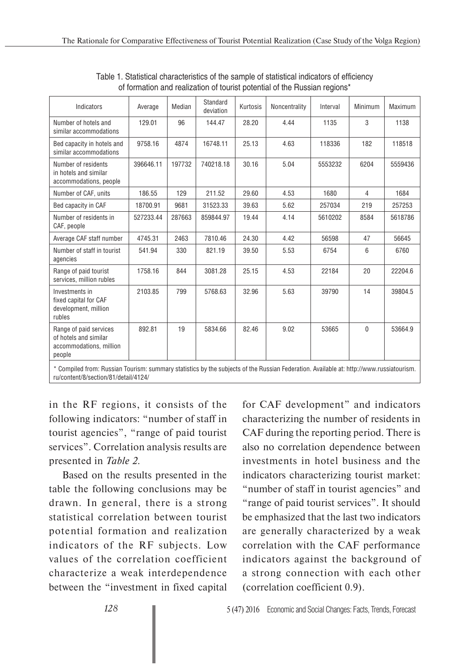| Indicators                                                                           | Average   | Median | Standard<br>deviation | Kurtosis | Noncentrality | Interval | Minimum        | Maximum |
|--------------------------------------------------------------------------------------|-----------|--------|-----------------------|----------|---------------|----------|----------------|---------|
| Number of hotels and<br>similar accommodations                                       | 129.01    | 96     | 144.47                | 28.20    | 4.44          | 1135     | 3              | 1138    |
| Bed capacity in hotels and<br>similar accommodations                                 | 9758.16   | 4874   | 16748.11              | 25.13    | 4.63          | 118336   | 182            | 118518  |
| Number of residents<br>in hotels and similar<br>accommodations, people               | 396646.11 | 197732 | 740218.18             | 30.16    | 5.04          | 5553232  | 6204           | 5559436 |
| Number of CAF, units                                                                 | 186.55    | 129    | 211.52                | 29.60    | 4.53          | 1680     | $\overline{4}$ | 1684    |
| Bed capacity in CAF                                                                  | 18700.91  | 9681   | 31523.33              | 39.63    | 5.62          | 257034   | 219            | 257253  |
| Number of residents in<br>CAF, people                                                | 527233.44 | 287663 | 859844.97             | 19.44    | 4.14          | 5610202  | 8584           | 5618786 |
| Average CAF staff number                                                             | 4745.31   | 2463   | 7810.46               | 24.30    | 4.42          | 56598    | 47             | 56645   |
| Number of staff in tourist<br>agencies                                               | 541.94    | 330    | 821.19                | 39.50    | 5.53          | 6754     | 6              | 6760    |
| Range of paid tourist<br>services, million rubles                                    | 1758.16   | 844    | 3081.28               | 25.15    | 4.53          | 22184    | 20             | 22204.6 |
| Investments in<br>fixed capital for CAF<br>development, million<br>rubles            | 2103.85   | 799    | 5768.63               | 32.96    | 5.63          | 39790    | 14             | 39804.5 |
| Range of paid services<br>of hotels and similar<br>accommodations, million<br>people | 892.81    | 19     | 5834.66               | 82.46    | 9.02          | 53665    | 0              | 53664.9 |

Table 1. Statistical characteristics of the sample of statistical indicators of efficiency of formation and realization of tourist potential of the Russian regions\*

\* Compiled from: Russian Tourism: summary statistics by the subjects of the Russian Federation. Available at: http://www.russiatourism. ru/content/8/section/81/detail/4124/

in the RF regions, it consists of the following indicators: "number of staff in tourist agencies", "range of paid tourist services". Correlation analysis results are presented in *Table 2*.

Based on the results presented in the table the following conclusions may be drawn. In general, there is a strong statistical correlation between tourist potential formation and realization indicators of the RF subjects. Low values of the correlation coefficient characterize a weak interdependence between the "investment in fixed capital

for CAF development" and indicators characterizing the number of residents in CAF during the reporting period. There is also no correlation dependence between investments in hotel business and the indicators characterizing tourist market: "number of staff in tourist agencies" and "range of paid tourist services". It should be emphasized that the last two indicators are generally characterized by a weak correlation with the CAF performance indicators against the background of a strong connection with each other (correlation coefficient 0.9).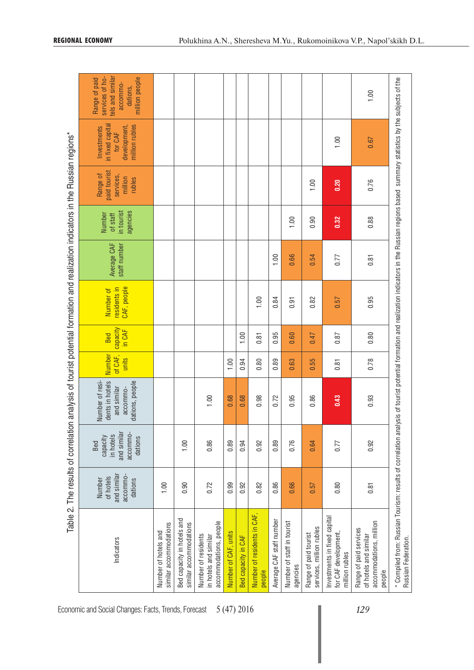|                                                                                                                                                                                                                           |                                                           |                                                                    | Table 2. The results of correlation analysis of tourist potential formation and realization indicators in the Russian regions* |                            |                           |                                          |                             |                                              |                                                            |                                                                              |                                                                                                |
|---------------------------------------------------------------------------------------------------------------------------------------------------------------------------------------------------------------------------|-----------------------------------------------------------|--------------------------------------------------------------------|--------------------------------------------------------------------------------------------------------------------------------|----------------------------|---------------------------|------------------------------------------|-----------------------------|----------------------------------------------|------------------------------------------------------------|------------------------------------------------------------------------------|------------------------------------------------------------------------------------------------|
| Indicators                                                                                                                                                                                                                | and similar<br>accommo-<br>of hotels<br>dations<br>Number | and similar<br>accommo-<br>in hotels<br>capacity<br>dations<br>Bed | Number of resi-<br>dents in hotels<br>dations, people<br>and similar<br>accommo-                                               | Number<br>of CAF,<br>units | capacity<br>in CAF<br>Bed | CAF, people<br>residents in<br>Number of | Average CAF<br>staff number | agencies<br>in tourist<br>Number<br>of staff | paid tourist<br>Range of<br>services,<br>million<br>rubles | in fixed capital<br>million rubles<br>development,<br>Investments<br>for CAF | tels and similar<br>services of ho-<br>million people<br>Range of paid<br>accommo-<br>dations, |
| similar accommodations<br>Number of hotels and                                                                                                                                                                            | 1,00                                                      |                                                                    |                                                                                                                                |                            |                           |                                          |                             |                                              |                                                            |                                                                              |                                                                                                |
| Bed capacity in hotels and<br>similar accommodations                                                                                                                                                                      | 0.90                                                      | 1.00                                                               |                                                                                                                                |                            |                           |                                          |                             |                                              |                                                            |                                                                              |                                                                                                |
| accommodations, people<br>Number of residents<br>in hotels and similar                                                                                                                                                    | 0.72                                                      | 0.86                                                               | 1.00                                                                                                                           |                            |                           |                                          |                             |                                              |                                                            |                                                                              |                                                                                                |
| Number of CAF, units                                                                                                                                                                                                      | 0.99                                                      | 0.89                                                               | 0.68                                                                                                                           | 1.00                       |                           |                                          |                             |                                              |                                                            |                                                                              |                                                                                                |
| Bed capacity in CAF                                                                                                                                                                                                       | 0.92                                                      | 0.94                                                               | 0.68                                                                                                                           | 0.94                       | 1,00                      |                                          |                             |                                              |                                                            |                                                                              |                                                                                                |
| Number of residents in CAF,<br>people                                                                                                                                                                                     | 0.82                                                      | 0.92                                                               | 0.98                                                                                                                           | 0.80                       | 0.81                      | 1.00                                     |                             |                                              |                                                            |                                                                              |                                                                                                |
| Average CAF staff number                                                                                                                                                                                                  | 0.86                                                      | 0.89                                                               | 0.72                                                                                                                           | 0.89                       | 0.95                      | 0.84                                     | 1.00                        |                                              |                                                            |                                                                              |                                                                                                |
| Number of staff in tourist<br>agencies                                                                                                                                                                                    | 0.66                                                      | 0.76                                                               | 0.95                                                                                                                           | 0.63                       | 0.60                      | 0.91                                     | 0.66                        | 1.00                                         |                                                            |                                                                              |                                                                                                |
| services, million rubles<br>Range of paid tourist                                                                                                                                                                         | 0.57                                                      | 0.64                                                               | 0.86                                                                                                                           | 0.55                       | 0.47                      | 0.82                                     | 0.54                        | 0.90                                         | 1.00                                                       |                                                                              |                                                                                                |
| Investments in fixed capital<br>for CAF development<br>million rubles                                                                                                                                                     | 0.80                                                      | 0.77                                                               | 0.43                                                                                                                           | 0.81                       | 0.87                      | 0.57                                     | 0.77                        | 0.32                                         | 0.20                                                       | 1.00                                                                         |                                                                                                |
| accommodations, million<br>Range of paid services<br>of hotels and similar<br>people                                                                                                                                      | 0.81                                                      | 0.92                                                               | 0.93                                                                                                                           | 0.78                       | 0.80                      | 0.95                                     | 0.81                        | 0.88                                         | 0.76                                                       | 0.67                                                                         | 1.00                                                                                           |
| * Compiled from: Russian Tourism: results of correlation analysis of tourist potential formation and realization indicators in the Russian regions based summary statistics by the subjects of the<br>Russian Federation. |                                                           |                                                                    |                                                                                                                                |                            |                           |                                          |                             |                                              |                                                            |                                                                              |                                                                                                |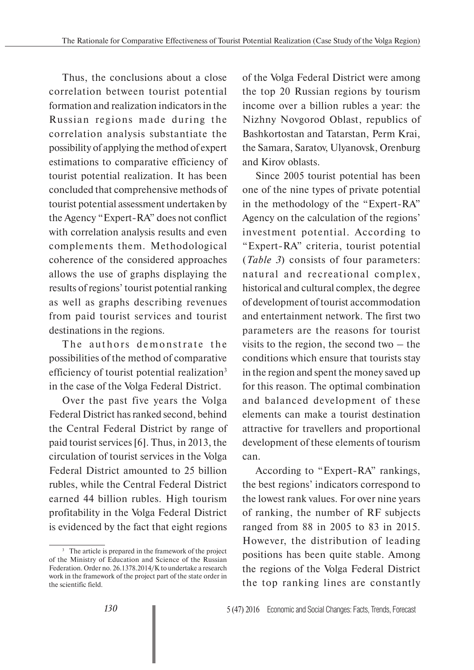Thus, the conclusions about a close correlation between tourist potential formation and realization indicators in the Russian regions made during the correlation analysis substantiate the possibility of applying the method of expert estimations to comparative efficiency of tourist potential realization. It has been concluded that comprehensive methods of tourist potential assessment undertaken by the Agency "Expert-RA" does not conflict with correlation analysis results and even complements them. Methodological coherence of the considered approaches allows the use of graphs displaying the results of regions' tourist potential ranking as well as graphs describing revenues from paid tourist services and tourist destinations in the regions.

The authors demonstrate the possibilities of the method of comparative efficiency of tourist potential realization<sup>3</sup> in the case of the Volga Federal District.

Over the past five years the Volga Federal District has ranked second, behind the Central Federal District by range of paid tourist services [6]. Thus, in 2013, the circulation of tourist services in the Volga Federal District amounted to 25 billion rubles, while the Central Federal District earned 44 billion rubles. High tourism profitability in the Volga Federal District is evidenced by the fact that eight regions

of the Volga Federal District were among the top 20 Russian regions by tourism income over a billion rubles a year: the Nizhny Novgorod Oblast, republics of Bashkortostan and Tatarstan, Perm Krai, the Samara, Saratov, Ulyanovsk, Orenburg and Kirov oblasts.

Since 2005 tourist potential has been one of the nine types of private potential in the methodology of the "Expert-RA" Agency on the calculation of the regions' investment potential. According to "Expert-RA" criteria, tourist potential (*Table 3*) consists of four parameters: natural and recreational complex, historical and cultural complex, the degree of development of tourist accommodation and entertainment network. The first two parameters are the reasons for tourist visits to the region, the second two – the conditions which ensure that tourists stay in the region and spent the money saved up for this reason. The optimal combination and balanced development of these elements can make a tourist destination attractive for travellers and proportional development of these elements of tourism can.

According to "Expert-RA" rankings, the best regions' indicators correspond to the lowest rank values. For over nine years of ranking, the number of RF subjects ranged from 88 in 2005 to 83 in 2015. However, the distribution of leading positions has been quite stable. Among the regions of the Volga Federal District the top ranking lines are constantly

<sup>&</sup>lt;sup>3</sup> The article is prepared in the framework of the project of the Ministry of Education and Science of the Russian Federation. Order no. 26.1378.2014/K to undertake a research work in the framework of the project part of the state order in the scientific field.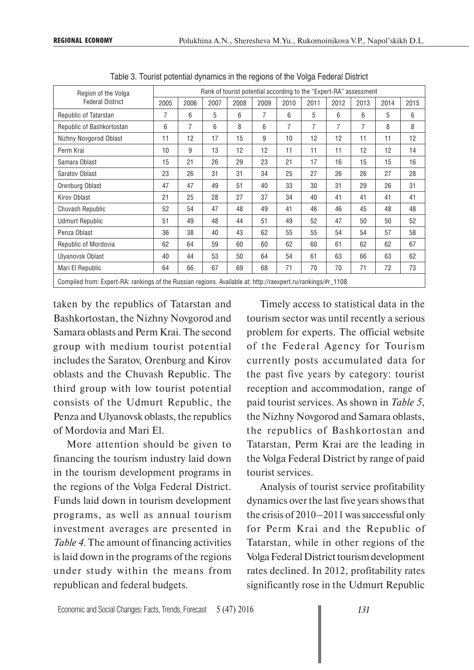| Region of the Volga                                                                                         |      |      |      | Rank of tourist potential according to the "Expert-RA" assessment |      |                |      |      |      |      |      |
|-------------------------------------------------------------------------------------------------------------|------|------|------|-------------------------------------------------------------------|------|----------------|------|------|------|------|------|
| <b>Federal District</b>                                                                                     | 2005 | 2006 | 2007 | 2008                                                              | 2009 | 2010           | 2011 | 2012 | 2013 | 2014 | 2015 |
| Republic of Tatarstan                                                                                       | 7    | 6    | 5    | 6                                                                 | 7    | 6              | 5    | 6    | 6    | 5    | 6    |
| Republic of Bashkortostan                                                                                   | 6    | 7    | 6    | 8                                                                 | 6    | $\overline{7}$ | 7    | 7    | 7    | 8    | 8    |
| Nizhny Novgorod Oblast                                                                                      | 11   | 12   | 17   | 15                                                                | 9    | 10             | 12   | 12   | 11   | 11   | 12   |
| Perm Krai                                                                                                   | 10   | 9    | 13   | 12                                                                | 12   | 11             | 11   | 11   | 12   | 12   | 14   |
| Samara Oblast                                                                                               | 15   | 21   | 26   | 29                                                                | 23   | 21             | 17   | 16   | 15   | 15   | 16   |
| Saratov Oblast                                                                                              | 23   | 26   | 31   | 31                                                                | 34   | 25             | 27   | 26   | 26   | 27   | 28   |
| Orenburg Oblast                                                                                             | 47   | 47   | 49   | 51                                                                | 40   | 33             | 30   | 31   | 29   | 26   | 31   |
| Kirov Oblast                                                                                                | 21   | 25   | 28   | 27                                                                | 37   | 34             | 40   | 41   | 41   | 41   | 41   |
| Chuvash Republic                                                                                            | 52   | 54   | 47   | 48                                                                | 49   | 41             | 46   | 46   | 45   | 48   | 48   |
| <b>Udmurt Republic</b>                                                                                      | 51   | 49   | 48   | 44                                                                | 51   | 49             | 52   | 47   | 50   | 50   | 52   |
| Penza Oblast                                                                                                | 36   | 38   | 40   | 43                                                                | 62   | 55             | 55   | 54   | 54   | 57   | 58   |
| Republic of Mordovia                                                                                        | 62   | 64   | 59   | 60                                                                | 60   | 62             | 60   | 61   | 62   | 62   | 67   |
| Ulyanovsk Oblast                                                                                            | 40   | 44   | 53   | 50                                                                | 64   | 54             | 61   | 63   | 66   | 63   | 62   |
| Mari El Republic                                                                                            | 64   | 66   | 67   | 69                                                                | 68   | 71             | 70   | 70   | 71   | 72   | 73   |
| Compiled from: Expert-RA: rankings of the Russian regions Available at: http://raexpert.ru/rankings/#r 1108 |      |      |      |                                                                   |      |                |      |      |      |      |      |

Table 3. Tourist potential dynamics in the regions of the Volga Federal District

Compiled from: Expert-RA: rankings of the Russian regions. Available at: http://raexpert.ru/rankings/#r\_1108

taken by the republics of Tatarstan and Bashkortostan, the Nizhny Novgorod and Samara oblasts and Perm Krai. The second group with medium tourist potential includes the Saratov, Orenburg and Kirov oblasts and the Chuvash Republic. The third group with low tourist potential consists of the Udmurt Republic, the Penza and Ulyanovsk oblasts, the republics of Mordovia and Mari El.

More attention should be given to financing the tourism industry laid down in the tourism development programs in the regions of the Volga Federal District. Funds laid down in tourism development programs, as well as annual tourism investment averages are presented in *Table 4*. The amount of financing activities is laid down in the programs of the regions under study within the means from republican and federal budgets.

Timely access to statistical data in the tourism sector was until recently a serious problem for experts. The official website of the Federal Agency for Tourism currently posts accumulated data for the past five years by category: tourist reception and accommodation, range of paid tourist services. As shown in *Table 5*, the Nizhny Novgorod and Samara oblasts, the republics of Bashkortostan and Tatarstan, Perm Krai are the leading in the Volga Federal District by range of paid tourist services.

Analysis of tourist service profitability dynamics over the last five years shows that the crisis of 2010–2011 was successful only for Perm Krai and the Republic of Tatarstan, while in other regions of the Volga Federal District tourism development rates declined. In 2012, profitability rates significantly rose in the Udmurt Republic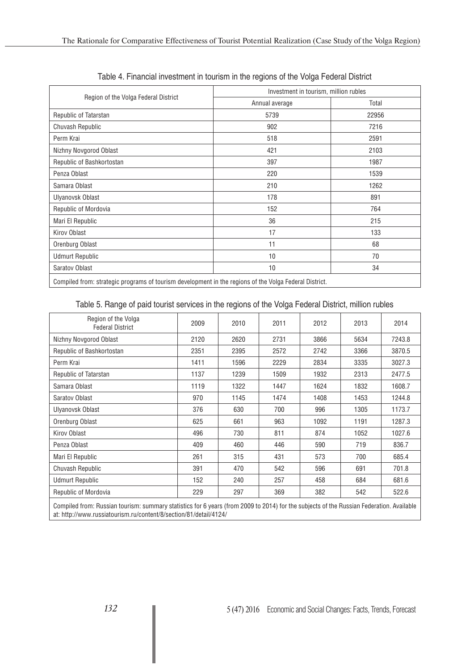|                                      | Investment in tourism, million rubles |       |  |  |  |  |
|--------------------------------------|---------------------------------------|-------|--|--|--|--|
| Region of the Volga Federal District | Annual average                        | Total |  |  |  |  |
| Republic of Tatarstan                | 5739                                  | 22956 |  |  |  |  |
| Chuvash Republic                     | 902                                   | 7216  |  |  |  |  |
| Perm Krai                            | 518                                   | 2591  |  |  |  |  |
| Nizhny Novgorod Oblast               | 421                                   | 2103  |  |  |  |  |
| Republic of Bashkortostan            | 397                                   | 1987  |  |  |  |  |
| Penza Oblast                         | 220                                   | 1539  |  |  |  |  |
| Samara Oblast                        | 210                                   | 1262  |  |  |  |  |
| Ulyanovsk Oblast                     | 178                                   | 891   |  |  |  |  |
| Republic of Mordovia                 | 152                                   | 764   |  |  |  |  |
| Mari El Republic                     | 36                                    | 215   |  |  |  |  |
| Kirov Oblast                         | 17                                    | 133   |  |  |  |  |
| Orenburg Oblast                      | 11                                    | 68    |  |  |  |  |
| <b>Udmurt Republic</b>               | 10                                    | 70    |  |  |  |  |
| Saratov Oblast                       | 10                                    | 34    |  |  |  |  |

Table 4. Financial investment in tourism in the regions of the Volga Federal District

Compiled from: strategic programs of tourism development in the regions of the Volga Federal District.

Table 5. Range of paid tourist services in the regions of the Volga Federal District, million rubles

| Region of the Volga<br><b>Federal District</b> | 2009 | 2010 | 2011 | 2012 | 2013 | 2014   |
|------------------------------------------------|------|------|------|------|------|--------|
| Nizhny Novgorod Oblast                         | 2120 | 2620 | 2731 | 3866 | 5634 | 7243.8 |
| Republic of Bashkortostan                      | 2351 | 2395 | 2572 | 2742 | 3366 | 3870.5 |
| Perm Krai                                      | 1411 | 1596 | 2229 | 2834 | 3335 | 3027.3 |
| Republic of Tatarstan                          | 1137 | 1239 | 1509 | 1932 | 2313 | 2477.5 |
| Samara Oblast                                  | 1119 | 1322 | 1447 | 1624 | 1832 | 1608.7 |
| Saratov Oblast                                 | 970  | 1145 | 1474 | 1408 | 1453 | 1244.8 |
| Ulyanovsk Oblast                               | 376  | 630  | 700  | 996  | 1305 | 1173.7 |
| Orenburg Oblast                                | 625  | 661  | 963  | 1092 | 1191 | 1287.3 |
| Kirov Oblast                                   | 496  | 730  | 811  | 874  | 1052 | 1027.6 |
| Penza Oblast                                   | 409  | 460  | 446  | 590  | 719  | 836.7  |
| Mari El Republic                               | 261  | 315  | 431  | 573  | 700  | 685.4  |
| Chuvash Republic                               | 391  | 470  | 542  | 596  | 691  | 701.8  |
| <b>Udmurt Republic</b>                         | 152  | 240  | 257  | 458  | 684  | 681.6  |
| Republic of Mordovia                           | 229  | 297  | 369  | 382  | 542  | 522.6  |

Compiled from: Russian tourism: summary statistics for 6 years (from 2009 to 2014) for the subjects of the Russian Federation. Available at: http://www.russiatourism.ru/content/8/section/81/detail/4124/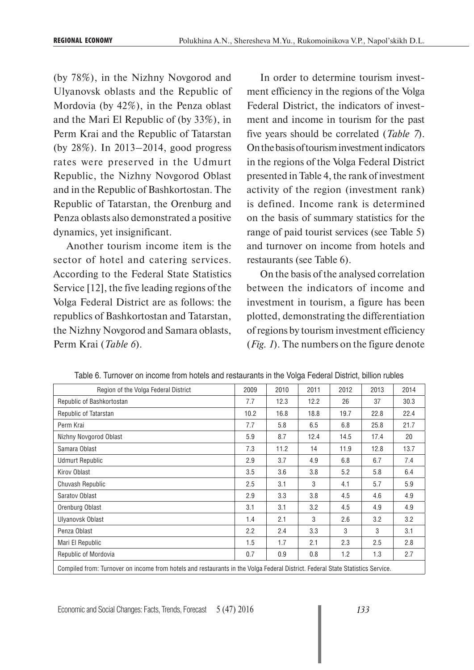(by 78%), in the Nizhny Novgorod and Ulyanovsk oblasts and the Republic of Mordovia (by 42%), in the Penza oblast and the Mari El Republic of (by 33%), in Perm Krai and the Republic of Tatarstan (by 28%). In 2013–2014, good progress rates were preserved in the Udmurt Republic, the Nizhny Novgorod Oblast and in the Republic of Bashkortostan. The Republic of Tatarstan, the Orenburg and Penza oblasts also demonstrated a positive dynamics, yet insignificant.

Another tourism income item is the sector of hotel and catering services. According to the Federal State Statistics Service [12], the five leading regions of the Volga Federal District are as follows: the republics of Bashkortostan and Tatarstan, the Nizhny Novgorod and Samara oblasts, Perm Krai (*Table 6*).

In order to determine tourism investment efficiency in the regions of the Volga Federal District, the indicators of investment and income in tourism for the past five years should be correlated (*Table 7*). On the basis of tourism investment indicators in the regions of the Volga Federal District presented in Table 4, the rank of investment activity of the region (investment rank) is defined. Income rank is determined on the basis of summary statistics for the range of paid tourist services (see Table 5) and turnover on income from hotels and restaurants (see Table 6).

On the basis of the analysed correlation between the indicators of income and investment in tourism, a figure has been plotted, demonstrating the differentiation of regions by tourism investment efficiency (*Fig. 1*). The numbers on the figure denote

| Region of the Volga Federal District                                                                                           | 2009 | 2010 | 2011 | 2012 | 2013 | 2014 |
|--------------------------------------------------------------------------------------------------------------------------------|------|------|------|------|------|------|
| Republic of Bashkortostan                                                                                                      | 7.7  | 12.3 | 12.2 | 26   | 37   | 30.3 |
| Republic of Tatarstan                                                                                                          | 10.2 | 16.8 | 18.8 | 19.7 | 22.8 | 22.4 |
| Perm Krai                                                                                                                      | 7.7  | 5.8  | 6.5  | 6.8  | 25.8 | 21.7 |
| Nizhny Novgorod Oblast                                                                                                         | 5.9  | 8.7  | 12.4 | 14.5 | 17.4 | 20   |
| Samara Oblast                                                                                                                  | 7.3  | 11.2 | 14   | 11.9 | 12.8 | 13.7 |
| <b>Udmurt Republic</b>                                                                                                         | 2.9  | 3.7  | 4.9  | 6.8  | 6.7  | 7.4  |
| Kirov Oblast                                                                                                                   | 3.5  | 3.6  | 3.8  | 5.2  | 5.8  | 6.4  |
| Chuvash Republic                                                                                                               | 2.5  | 3.1  | 3    | 4.1  | 5.7  | 5.9  |
| Saratov Oblast                                                                                                                 | 2.9  | 3.3  | 3.8  | 4.5  | 4.6  | 4.9  |
| Orenburg Oblast                                                                                                                | 3.1  | 3.1  | 3.2  | 4.5  | 4.9  | 4.9  |
| Ulyanovsk Oblast                                                                                                               | 1.4  | 2.1  | 3    | 2.6  | 3.2  | 3.2  |
| Penza Oblast                                                                                                                   | 2.2  | 2.4  | 3.3  | 3    | 3    | 3.1  |
| Mari El Republic                                                                                                               | 1.5  | 1.7  | 2.1  | 2.3  | 2.5  | 2.8  |
| Republic of Mordovia                                                                                                           | 0.7  | 0.9  | 0.8  | 1.2  | 1.3  | 2.7  |
| Compiled from: Turnover on income from hotels and restaurants in the Volga Federal District. Federal State Statistics Service. |      |      |      |      |      |      |

Table 6. Turnover on income from hotels and restaurants in the Volga Federal District, billion rubles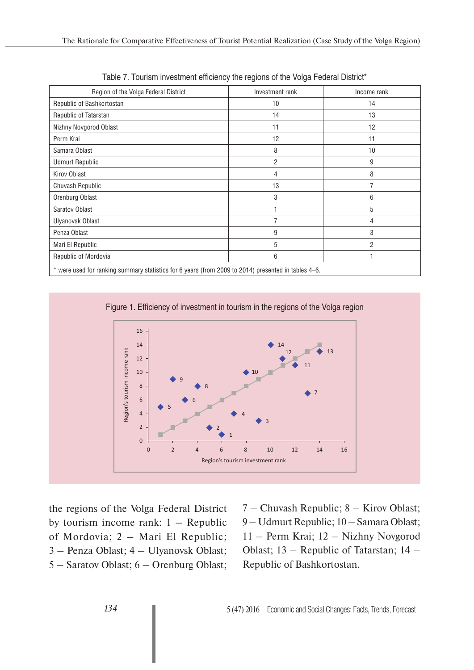| Region of the Volga Federal District                                                                | Investment rank | Income rank    |
|-----------------------------------------------------------------------------------------------------|-----------------|----------------|
| Republic of Bashkortostan                                                                           | 10              | 14             |
| Republic of Tatarstan                                                                               | 14              | 13             |
| Nizhny Novgorod Oblast                                                                              | 11              | 12             |
| Perm Krai                                                                                           | 12              | 11             |
| Samara Oblast                                                                                       | 8               | 10             |
| <b>Udmurt Republic</b>                                                                              | 2               | 9              |
| Kirov Oblast                                                                                        | 4               | 8              |
| Chuvash Republic                                                                                    | 13              |                |
| Orenburg Oblast                                                                                     | 3               | 6              |
| Saratov Oblast                                                                                      |                 | 5              |
| Ulyanovsk Oblast                                                                                    | 7               | 4              |
| Penza Oblast                                                                                        | 9               | 3              |
| Mari El Republic                                                                                    | 5               | $\overline{2}$ |
| Republic of Mordovia                                                                                | 6               |                |
| * were used for ranking summary statistics for 6 years (from 2009 to 2014) presented in tables 4–6. |                 |                |

Table 7. Tourism investment efficiency the regions of the Volga Federal District\*

Figure 1. Efficiency of investment in tourism in the regions of the Volga region



the regions of the Volga Federal District by tourism income rank:  $1 - Republic$ of Mordovia; 2 – Mari El Republic; 3 – Penza Oblast; 4 – Ulyanovsk Oblast; 5 – Saratov Oblast; 6 – Orenburg Oblast;

7 – Chuvash Republic; 8 – Kirov Oblast; 9 – Udmurt Republic; 10 – Samara Oblast; 11 – Perm Krai; 12 – Nizhny Novgorod Oblast; 13 – Republic of Tatarstan; 14 – Republic of Bashkortostan.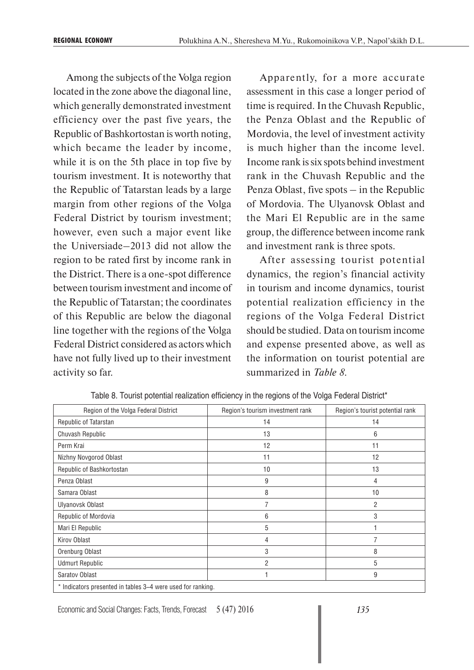Among the subjects of the Volga region located in the zone above the diagonal line, which generally demonstrated investment efficiency over the past five years, the Republic of Bashkortostan is worth noting, which became the leader by income, while it is on the 5th place in top five by tourism investment. It is noteworthy that the Republic of Tatarstan leads by a large margin from other regions of the Volga Federal District by tourism investment; however, even such a major event like the Universiade–2013 did not allow the region to be rated first by income rank in the District. There is a one-spot difference between tourism investment and income of the Republic of Tatarstan; the coordinates of this Republic are below the diagonal line together with the regions of the Volga Federal District considered as actors which have not fully lived up to their investment activity so far.

Apparently, for a more accurate assessment in this case a longer period of time is required. In the Chuvash Republic, the Penza Oblast and the Republic of Mordovia, the level of investment activity is much higher than the income level. Income rank is six spots behind investment rank in the Chuvash Republic and the Penza Oblast, five spots – in the Republic of Mordovia. The Ulyanovsk Oblast and the Mari El Republic are in the same group, the difference between income rank and investment rank is three spots.

After assessing tourist potential dynamics, the region's financial activity in tourism and income dynamics, tourist potential realization efficiency in the regions of the Volga Federal District should be studied. Data on tourism income and expense presented above, as well as the information on tourist potential are summarized in *Table 8*.

| Region of the Volga Federal District | Region's tourism investment rank | Region's tourist potential rank |
|--------------------------------------|----------------------------------|---------------------------------|
| Republic of Tatarstan                | 14                               | 14                              |
| Chuvash Republic                     | 13                               | 6                               |
| Perm Krai                            | 12                               | 11                              |
| Nizhny Novgorod Oblast               | 11                               | 12                              |
| Republic of Bashkortostan            | 10                               | 13                              |
| Penza Oblast                         | 9                                | 4                               |
| Samara Oblast                        | 8                                | 10                              |
| Ulyanovsk Oblast                     |                                  | 2                               |
| Republic of Mordovia                 | 6                                | 3                               |
| Mari El Republic                     | 5                                |                                 |
| Kirov Oblast                         | 4                                |                                 |
| Orenburg Oblast                      | 3                                | 8                               |
| <b>Udmurt Republic</b>               | 2                                | 5                               |
| Saratov Oblast                       |                                  | 9                               |
|                                      |                                  |                                 |

Table 8. Tourist potential realization efficiency in the regions of the Volga Federal District\*

Indicators presented in tables 3–4 were used for ranking.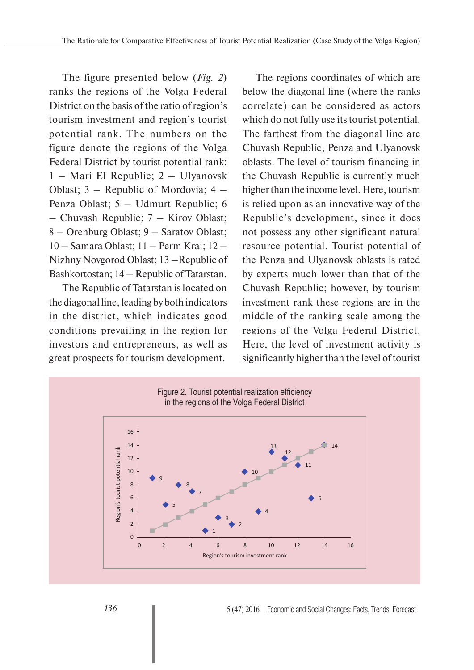The figure presented below (*Fig. 2*) ranks the regions of the Volga Federal District on the basis of the ratio of region's tourism investment and region's tourist potential rank. The numbers on the figure denote the regions of the Volga Federal District by tourist potential rank: 1 – Mari El Republic; 2 – Ulyanovsk Oblast; 3 – Republic of Mordovia; 4 – Penza Oblast; 5 – Udmurt Republic; 6 – Chuvash Republic; 7 – Kirov Oblast; 8 – Orenburg Oblast; 9 – Saratov Oblast; 10 – Samara Oblast; 11 – Perm Krai; 12 – Nizhny Novgorod Oblast; 13 –Republic of Bashkortostan; 14 – Republic of Tatarstan.

The Republic of Tatarstan is located on the diagonal line, leading by both indicators in the district, which indicates good conditions prevailing in the region for investors and entrepreneurs, as well as great prospects for tourism development.

The regions coordinates of which are below the diagonal line (where the ranks correlate) can be considered as actors which do not fully use its tourist potential. The farthest from the diagonal line are Chuvash Republic, Penza and Ulyanovsk oblasts. The level of tourism financing in the Chuvash Republic is currently much higher than the income level. Here, tourism is relied upon as an innovative way of the Republic's development, since it does not possess any other significant natural resource potential. Tourist potential of the Penza and Ulyanovsk oblasts is rated by experts much lower than that of the Chuvash Republic; however, by tourism investment rank these regions are in the middle of the ranking scale among the regions of the Volga Federal District. Here, the level of investment activity is significantly higher than the level of tourist

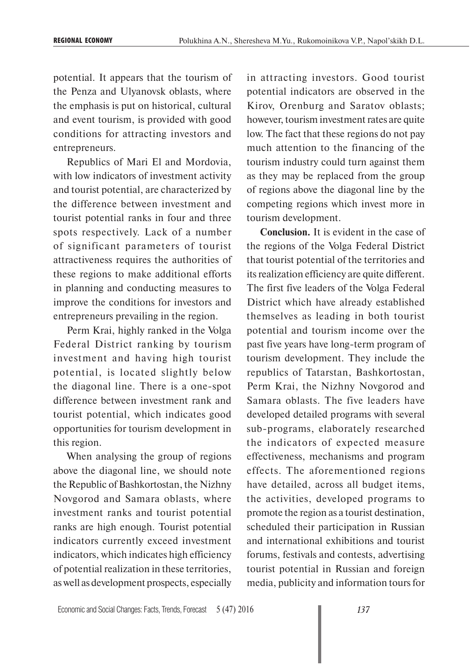potential. It appears that the tourism of the Penza and Ulyanovsk oblasts, where the emphasis is put on historical, cultural and event tourism, is provided with good conditions for attracting investors and entrepreneurs.

Republics of Mari El and Mordovia, with low indicators of investment activity and tourist potential, are characterized by the difference between investment and tourist potential ranks in four and three spots respectively. Lack of a number of significant parameters of tourist attractiveness requires the authorities of these regions to make additional efforts in planning and conducting measures to improve the conditions for investors and entrepreneurs prevailing in the region.

Perm Krai, highly ranked in the Volga Federal District ranking by tourism investment and having high tourist potential, is located slightly below the diagonal line. There is a one-spot difference between investment rank and tourist potential, which indicates good opportunities for tourism development in this region.

When analysing the group of regions above the diagonal line, we should note the Republic of Bashkortostan, the Nizhny Novgorod and Samara oblasts, where investment ranks and tourist potential ranks are high enough. Tourist potential indicators currently exceed investment indicators, which indicates high efficiency of potential realization in these territories, as well as development prospects, especially

in attracting investors. Good tourist potential indicators are observed in the Kirov, Orenburg and Saratov oblasts; however, tourism investment rates are quite low. The fact that these regions do not pay much attention to the financing of the tourism industry could turn against them as they may be replaced from the group of regions above the diagonal line by the competing regions which invest more in tourism development.

**Conclusion.** It is evident in the case of the regions of the Volga Federal District that tourist potential of the territories and its realization efficiency are quite different. The first five leaders of the Volga Federal District which have already established themselves as leading in both tourist potential and tourism income over the past five years have long-term program of tourism development. They include the republics of Tatarstan, Bashkortostan, Perm Krai, the Nizhny Novgorod and Samara oblasts. The five leaders have developed detailed programs with several sub-programs, elaborately researched the indicators of expected measure effectiveness, mechanisms and program effects. The aforementioned regions have detailed, across all budget items, the activities, developed programs to promote the region as a tourist destination, scheduled their participation in Russian and international exhibitions and tourist forums, festivals and contests, advertising tourist potential in Russian and foreign media, publicity and information tours for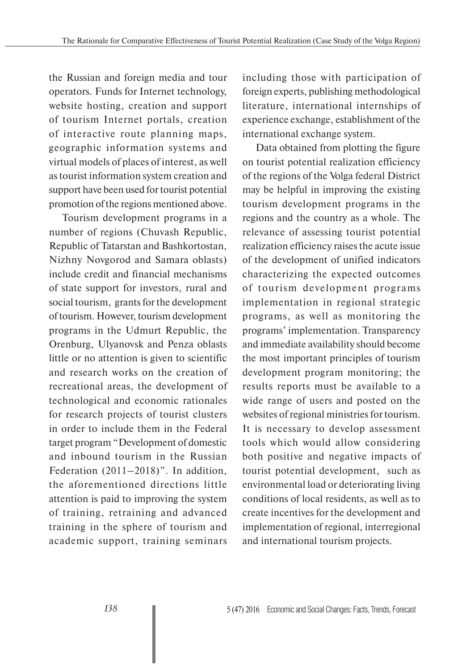the Russian and foreign media and tour operators. Funds for Internet technology, website hosting, creation and support of tourism Internet portals, creation of interactive route planning maps, geographic information systems and virtual models of places of interest, as well as tourist information system creation and support have been used for tourist potential promotion of the regions mentioned above.

Tourism development programs in a number of regions (Chuvash Republic, Republic of Tatarstan and Bashkortostan, Nizhny Novgorod and Samara oblasts) include credit and financial mechanisms of state support for investors, rural and social tourism, grants for the development of tourism. However, tourism development programs in the Udmurt Republic, the Orenburg, Ulyanovsk and Penza oblasts little or no attention is given to scientific and research works on the creation of recreational areas, the development of technological and economic rationales for research projects of tourist clusters in order to include them in the Federal target program "Development of domestic and inbound tourism in the Russian Federation (2011–2018)". In addition, the aforementioned directions little attention is paid to improving the system of training, retraining and advanced training in the sphere of tourism and academic support, training seminars

including those with participation of foreign experts, publishing methodological literature, international internships of experience exchange, establishment of the international exchange system.

Data obtained from plotting the figure on tourist potential realization efficiency of the regions of the Volga federal District may be helpful in improving the existing tourism development programs in the regions and the country as a whole. The relevance of assessing tourist potential realization efficiency raises the acute issue of the development of unified indicators characterizing the expected outcomes of tourism development programs implementation in regional strategic programs, as well as monitoring the programs' implementation. Transparency and immediate availability should become the most important principles of tourism development program monitoring; the results reports must be available to a wide range of users and posted on the websites of regional ministries for tourism. It is necessary to develop assessment tools which would allow considering both positive and negative impacts of tourist potential development, such as environmental load or deteriorating living conditions of local residents, as well as to create incentives for the development and implementation of regional, interregional and international tourism projects.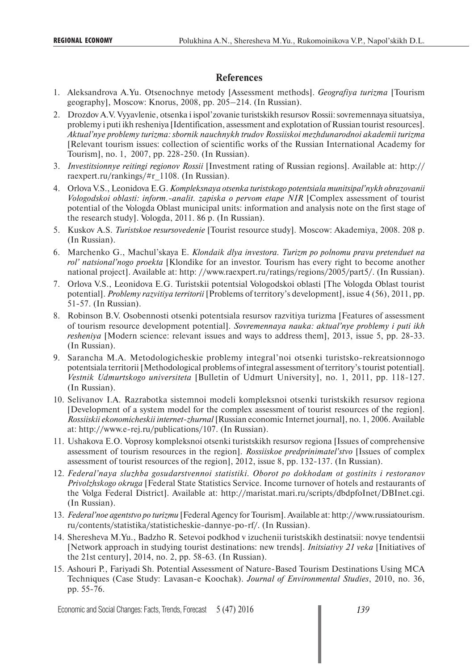## **References**

- 1. Aleksandrova A.Yu. Otsenochnye metody [Assessment methods]. *Geografiya turizma* [Tourism geography], Moscow: Knorus, 2008, pp. 205–214. (In Russian).
- 2. Drozdov A.V. Vyyavlenie, otsenka i ispol'zovanie turistskikh resursov Rossii: sovremennaya situatsiya, problemy i puti ikh resheniya [Identification, assessment and explotation of Russian tourist resources]. *Aktual'nye problemy turizma: sbornik nauchnykh trudov Rossiiskoi mezhdunarodnoi akademii turizma* [Relevant tourism issues: collection of scientific works of the Russian International Academy for Tourism], no. 1, 2007, pp. 228-250. (In Russian).
- 3. *Investitsionnye reitingi regionov Rossii* [Investment rating of Russian regions]. Available at: http:// raexpert.ru/rankings/#r\_1108. (In Russian).
- 4. Orlova V.S., Leonidova E.G. *Kompleksnaya otsenka turistskogo potentsiala munitsipal'nykh obrazovanii Vologodskoi oblasti: inform.-analit. zapiska o pervom etape NIR* [Complex assessment of tourist potential of the Vologda Oblast municipal units: information and analysis note on the first stage of the research study]. Vologda, 2011. 86 p. (In Russian).
- 5. Kuskov A.S. *Turistskoe resursovedenie* [Tourist resource study]. Moscow: Akademiya, 2008. 208 p. (In Russian).
- 6. Marchenko G., Machul'skaya E. *Klondaik dlya investora. Turizm po polnomu pravu pretenduet na rol' natsional'nogo proekta* [Klondike for an investor. Tourism has every right to become another national project]. Available at: http: //www.raexpert.ru/ratings/regions/2005/part5/. (In Russian).
- 7. Orlova V.S., Leonidova E.G. Turistskii potentsial Vologodskoi oblasti [The Vologda Oblast tourist potential]. *Problemy razvitiya territorii* [Problems of territory's development], issue 4 (56), 2011, pp. 51-57. (In Russian).
- 8. Robinson B.V. Osobennosti otsenki potentsiala resursov razvitiya turizma [Features of assessment of tourism resource development potential]. *Sovremennaya nauka: aktual'nye problemy i puti ikh resheniya* [Modern science: relevant issues and ways to address them], 2013, issue 5, pp. 28-33. (In Russian).
- 9. Sarancha M.A. Metodologicheskie problemy integral'noi otsenki turistsko-rekreatsionnogo potentsiala territorii [Methodological problems of integral assessment of territory's tourist potential]. *Vestnik Udmurtskogo universiteta* [Bulletin of Udmurt University], no. 1, 2011, pp. 118-127. (In Russian).
- 10. Selivanov I.A. Razrabotka sistemnoi modeli kompleksnoi otsenki turistskikh resursov regiona [Development of a system model for the complex assessment of tourist resources of the region]. *Rossiiskii ekonomicheskii internet-zhurnal* [Russian economic Internet journal], no. 1, 2006. Available at: http://www.e-rej.ru/publications/107. (In Russian).
- 11. Ushakova E.O. Voprosy kompleksnoi otsenki turistskikh resursov regiona [Issues of comprehensive assessment of tourism resources in the region]. *Rossiiskoe predprinimatel'stvo* [Issues of complex assessment of tourist resources of the region], 2012, issue 8, pp. 132-137. (In Russian).
- 12. *Federal'naya sluzhba gosudarstvennoi statistiki. Oborot po dokhodam ot gostinits i restoranov Privolzhskogo okruga* [Federal State Statistics Service. Income turnover of hotels and restaurants of the Volga Federal District]. Available at: http://maristat.mari.ru/scripts/dbdpfoInet/DBInet.cgi. (In Russian).
- 13. *Federal'noe agentstvo po turizmu* [Federal Agency for Tourism]. Available at: http://www.russiatourism. ru/contents/statistika/statisticheskie-dannye-po-rf/. (In Russian).
- 14. Sheresheva M.Yu., Badzho R. Setevoi podkhod v izuchenii turistskikh destinatsii: novye tendentsii [Network approach in studying tourist destinations: new trends]. *Initsiativy 21 veka* [Initiatives of the 21st century], 2014, no. 2, pp. 58-63. (In Russian).
- 15. Ashouri P., Fariyadi Sh. Potential Assessment of Nature-Based Tourism Destinations Using MCA Techniques (Case Study: Lavasan-e Koochak). *Journal of Environmental Studies*, 2010, no. 36, pp. 55-76.